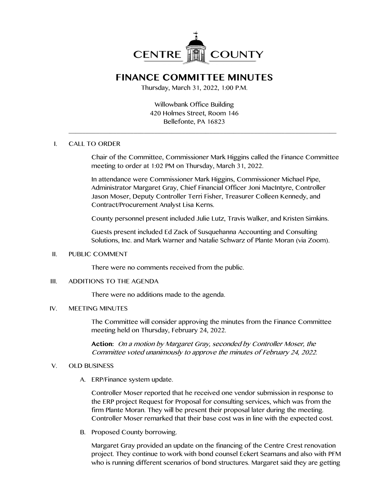

# **FINANCE COMMITTEE MINUTES**

Thursday, March 31, 2022, 1:00 P.M.

Willowbank Office Building 420 Holmes Street, Room 146 Bellefonte, PA 16823

\_\_\_\_\_\_\_\_\_\_\_\_\_\_\_\_\_\_\_\_\_\_\_\_\_\_\_\_\_\_\_\_\_\_\_\_\_\_\_\_\_\_\_\_\_\_\_\_\_\_\_\_\_\_\_\_\_\_\_\_\_\_\_\_\_\_\_\_\_\_\_\_\_\_\_\_\_\_

## I. CALL TO ORDER

Chair of the Committee, Commissioner Mark Higgins called the Finance Committee meeting to order at 1:02 PM on Thursday, March 31, 2022.

In attendance were Commissioner Mark Higgins, Commissioner Michael Pipe, Administrator Margaret Gray, Chief Financial Officer Joni MacIntyre, Controller Jason Moser, Deputy Controller Terri Fisher, Treasurer Colleen Kennedy, and Contract/Procurement Analyst Lisa Kerns.

County personnel present included Julie Lutz, Travis Walker, and Kristen Simkins.

Guests present included Ed Zack of Susquehanna Accounting and Consulting Solutions, Inc. and Mark Warner and Natalie Schwarz of Plante Moran (via Zoom).

### II. PUBLIC COMMENT

There were no comments received from the public.

# III. ADDITIONS TO THE AGENDA

There were no additions made to the agenda.

# IV. MEETING MINUTES

The Committee will consider approving the minutes from the Finance Committee meeting held on Thursday, February 24, 2022.

**Action:** On a motion by Margaret Gray, seconded by Controller Moser, the Committee voted unanimously to approve the minutes of February 24, 2022.

### V. OLD BUSINESS

A. ERP/Finance system update.

Controller Moser reported that he received one vendor submission in response to the ERP project Request for Proposal for consulting services, which was from the firm Plante Moran. They will be present their proposal later during the meeting. Controller Moser remarked that their base cost was in line with the expected cost.

B. Proposed County borrowing.

Margaret Gray provided an update on the financing of the Centre Crest renovation project. They continue to work with bond counsel Eckert Seamans and also with PFM who is running different scenarios of bond structures. Margaret said they are getting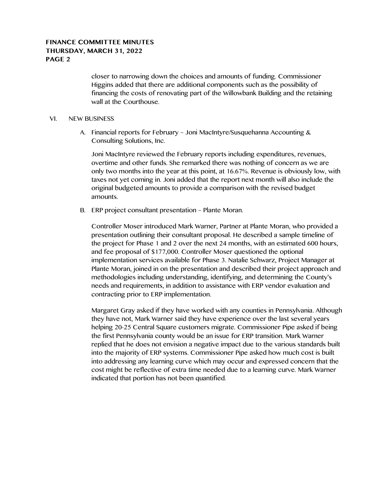# **FINANCE COMMITTEE MINUTES THURSDAY, MARCH 31, 2022 PAGE 2**

closer to narrowing down the choices and amounts of funding. Commissioner Higgins added that there are additional components such as the possibility of financing the costs of renovating part of the Willowbank Building and the retaining wall at the Courthouse.

### VI. NEW BUSINESS

A. Financial reports for February – Joni MacIntyre/Susquehanna Accounting & Consulting Solutions, Inc.

Joni MacIntyre reviewed the February reports including expenditures, revenues, overtime and other funds. She remarked there was nothing of concern as we are only two months into the year at this point, at 16.67%. Revenue is obviously low, with taxes not yet coming in. Joni added that the report next month will also include the original budgeted amounts to provide a comparison with the revised budget amounts.

B. ERP project consultant presentation – Plante Moran.

Controller Moser introduced Mark Warner, Partner at Plante Moran, who provided a presentation outlining their consultant proposal. He described a sample timeline of the project for Phase 1 and 2 over the next 24 months, with an estimated 600 hours, and fee proposal of \$177,000. Controller Moser questioned the optional implementation services available for Phase 3. Natalie Schwarz, Project Manager at Plante Moran, joined in on the presentation and described their project approach and methodologies including understanding, identifying, and determining the County's needs and requirements, in addition to assistance with ERP vendor evaluation and contracting prior to ERP implementation.

Margaret Gray asked if they have worked with any counties in Pennsylvania. Although they have not, Mark Warner said they have experience over the last several years helping 20-25 Central Square customers migrate. Commissioner Pipe asked if being the first Pennsylvania county would be an issue for ERP transition. Mark Warner replied that he does not envision a negative impact due to the various standards built into the majority of ERP systems. Commissioner Pipe asked how much cost is built into addressing any learning curve which may occur and expressed concern that the cost might be reflective of extra time needed due to a learning curve. Mark Warner indicated that portion has not been quantified.